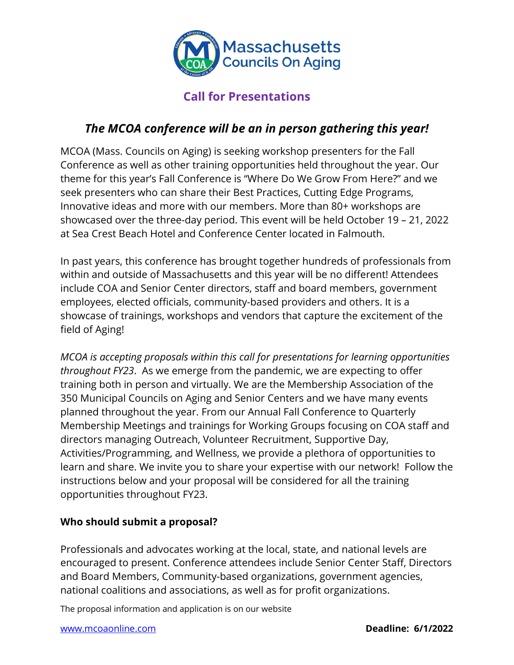

# **Call for Presentations**

## *The MCOA conference will be an in person gathering this year!*

MCOA (Mass. Councils on Aging) is seeking workshop presenters for the Fall Conference as well as other training opportunities held throughout the year. Our theme for this year's Fall Conference is "Where Do We Grow From Here?" and we seek presenters who can share their Best Practices, Cutting Edge Programs, Innovative ideas and more with our members. More than 80+ workshops are showcased over the three-day period. This event will be held October 19 – 21, 2022 at Sea Crest Beach Hotel and Conference Center located in Falmouth.

In past years, this conference has brought together hundreds of professionals from within and outside of Massachusetts and this year will be no different! Attendees include COA and Senior Center directors, staff and board members, government employees, elected officials, community-based providers and others. It is a showcase of trainings, workshops and vendors that capture the excitement of the field of Aging!

*MCOA is accepting proposals within this call for presentations for learning opportunities throughout FY23*. As we emerge from the pandemic, we are expecting to offer training both in person and virtually. We are the Membership Association of the 350 Municipal Councils on Aging and Senior Centers and we have many events planned throughout the year. From our Annual Fall Conference to Quarterly Membership Meetings and trainings for Working Groups focusing on COA staff and directors managing Outreach, Volunteer Recruitment, Supportive Day, Activities/Programming, and Wellness, we provide a plethora of opportunities to learn and share. We invite you to share your expertise with our network! Follow the instructions below and your proposal will be considered for all the training opportunities throughout FY23.

### **Who should submit a proposal?**

Professionals and advocates working at the local, state, and national levels are encouraged to present. Conference attendees include Senior Center Staff, Directors and Board Members, Community-based organizations, government agencies, national coalitions and associations, as well as for profit organizations.

The proposal information and application is on our website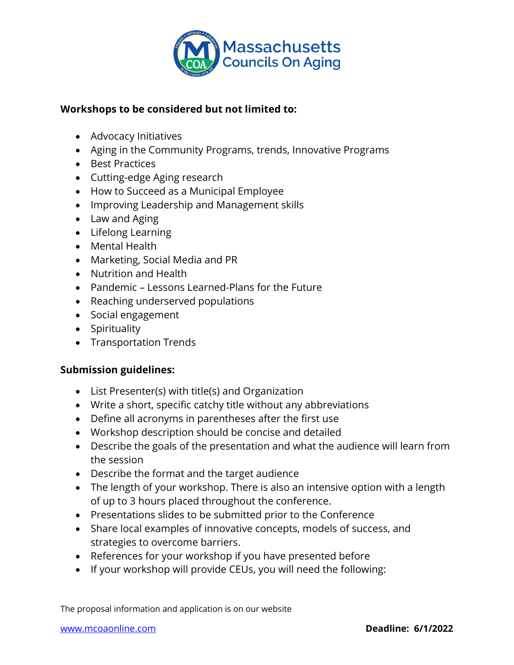

### **Workshops to be considered but not limited to:**

- Advocacy Initiatives
- Aging in the Community Programs, trends, Innovative Programs
- Best Practices
- Cutting-edge Aging research
- How to Succeed as a Municipal Employee
- Improving Leadership and Management skills
- Law and Aging
- Lifelong Learning
- Mental Health
- Marketing, Social Media and PR
- Nutrition and Health
- Pandemic Lessons Learned-Plans for the Future
- Reaching underserved populations
- Social engagement
- Spirituality
- Transportation Trends

#### **Submission guidelines:**

- List Presenter(s) with title(s) and Organization
- Write a short, specific catchy title without any abbreviations
- Define all acronyms in parentheses after the first use
- Workshop description should be concise and detailed
- Describe the goals of the presentation and what the audience will learn from the session
- Describe the format and the target audience
- The length of your workshop. There is also an intensive option with a length of up to 3 hours placed throughout the conference.
- Presentations slides to be submitted prior to the Conference
- Share local examples of innovative concepts, models of success, and strategies to overcome barriers.
- References for your workshop if you have presented before
- If your workshop will provide CEUs, you will need the following:

The proposal information and application is on our website